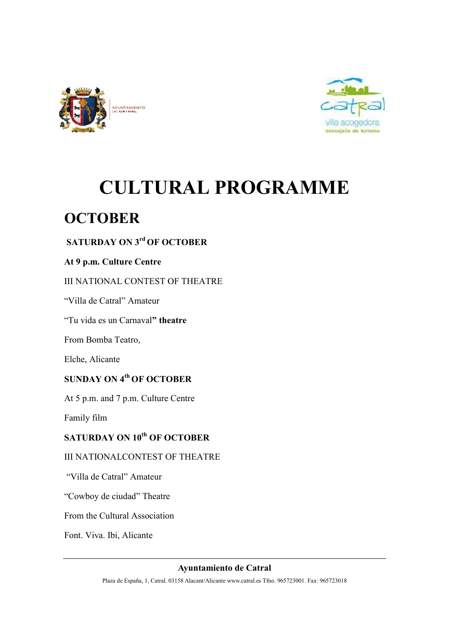



# **CULTURAL PROGRAMME**

## **OCTOBER**

## **SATURDAY ON 3<sup>rd</sup> OF OCTOBER**

#### **At 9 p.m. Culture Centre**

#### III NATIONAL CONTEST OF THEATRE

"Villa de Catral" Amateur

"Tu vida es un Carnaval**" theatre** 

From Bomba Teatro,

Elche, Alicante

## **SUNDAY ON 4<sup>th</sup> OF OCTOBER**

At 5 p.m. and 7 p.m. Culture Centre

Family film

## **SATURDAY ON 10<sup>th</sup> OF OCTOBER**

#### III NATIONALCONTEST OF THEATRE

"Villa de Catral" Amateur

"Cowboy de ciudad" Theatre

From the Cultural Association

Font. Viva. Ibi, Alicante

**Ayuntamiento de Catral**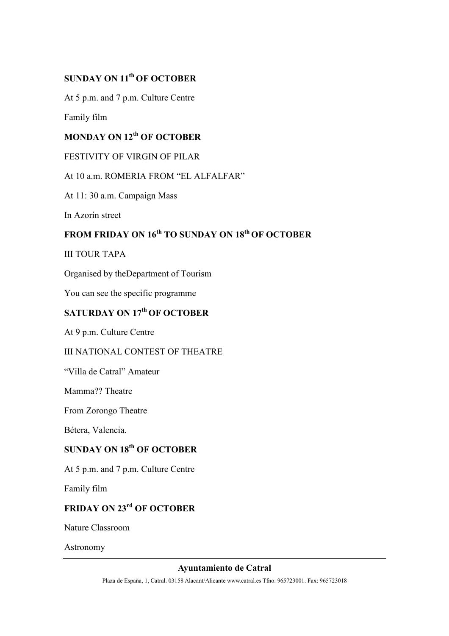#### **SUNDAY ON 11<sup>th</sup> OF OCTOBER**

At 5 p.m. and 7 p.m. Culture Centre

Family film

## **MONDAY ON 12<sup>th</sup> OF OCTOBER**

#### FESTIVITY OF VIRGIN OF PILAR

#### At 10 a.m. ROMERIA FROM "EL ALFALFAR"

At 11: 30 a.m. Campaign Mass

In Azorín street

## **FROM FRIDAY ON 16<sup>th</sup> TO SUNDAY ON 18<sup>th</sup> OF OCTOBER**

#### III TOUR TAPA

Organised by theDepartment of Tourism

You can see the specific programme

## **SATURDAY ON 17<sup>th</sup> OF OCTOBER**

At 9 p.m. Culture Centre

#### III NATIONAL CONTEST OF THEATRE

"Villa de Catral" Amateur

Mamma?? Theatre

From Zorongo Theatre

Bétera, Valencia.

## **SUNDAY ON 18<sup>th</sup> OF OCTOBER**

At 5 p.m. and 7 p.m. Culture Centre

Family film

## **FRIDAY ON 23<sup>rd</sup> OF OCTOBER**

Nature Classroom

Astronomy

#### **Ayuntamiento de Catral**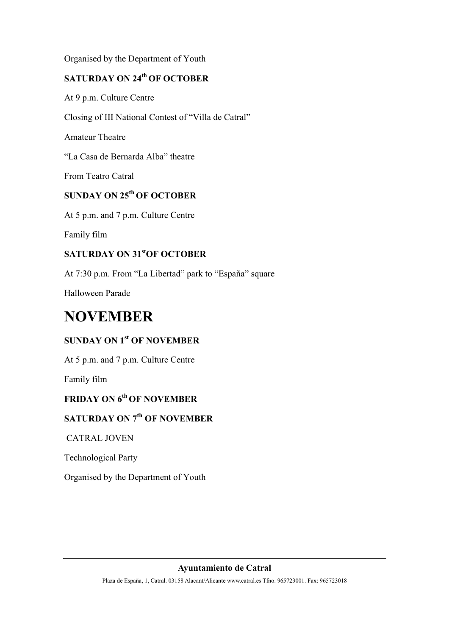Organised by the Department of Youth

## **SATURDAY ON 24<sup>th</sup> OF OCTOBER**

At 9 p.m. Culture Centre

Closing of III National Contest of "Villa de Catral"

Amateur Theatre

"La Casa de Bernarda Alba" theatre

From Teatro Catral

## **SUNDAY ON 25<sup>th</sup> OF OCTOBER**

At 5 p.m. and 7 p.m. Culture Centre

Family film

#### **SATURDAY ON 31<sup>st</sup>OF OCTOBER**

At 7:30 p.m. From "La Libertad" park to "España" square

Halloween Parade

## **NOVEMBER**

## **SUNDAY ON 1<sup>st</sup> OF NOVEMBER**

At 5 p.m. and 7 p.m. Culture Centre

Family film

## **FRIDAY ON 6<sup>th</sup> OF NOVEMBER**

## **SATURDAY ON 7<sup>th</sup> OF NOVEMBER**

CATRAL JOVEN

Technological Party

Organised by the Department of Youth

#### **Ayuntamiento de Catral**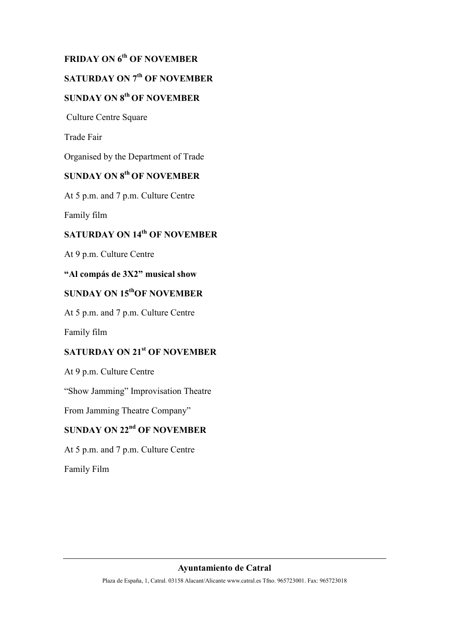## **FRIDAY ON 6<sup>th</sup> OF NOVEMBER**

## **SATURDAY ON 7<sup>th</sup> OF NOVEMBER**

## **SUNDAY ON 8<sup>th</sup> OF NOVEMBER**

Culture Centre Square

Trade Fair

Organised by the Department of Trade

## **SUNDAY ON 8<sup>th</sup> OF NOVEMBER**

At 5 p.m. and 7 p.m. Culture Centre

Family film

## **SATURDAY ON 14<sup>th</sup> OF NOVEMBER**

At 9 p.m. Culture Centre

#### **"Al compás de 3X2" musical show**

## **SUNDAY ON 15<sup>th</sup>OF NOVEMBER**

At 5 p.m. and 7 p.m. Culture Centre

Family film

#### **SATURDAY ON 21<sup>st</sup> OF NOVEMBER**

At 9 p.m. Culture Centre

"Show Jamming" Improvisation Theatre

From Jamming Theatre Company"

## **SUNDAY ON 22<sup>nd</sup> OF NOVEMBER**

At 5 p.m. and 7 p.m. Culture Centre

Family Film

#### **Ayuntamiento de Catral**